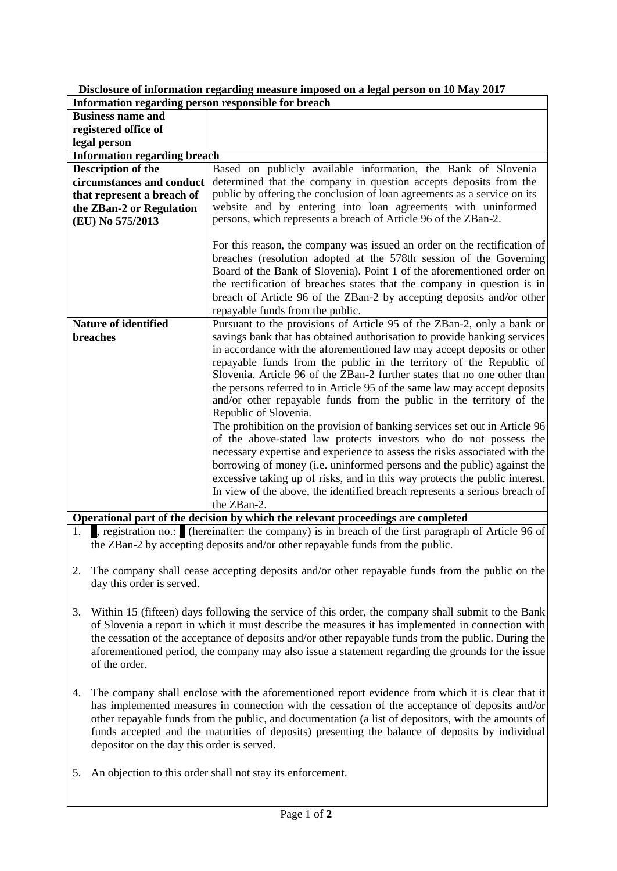| Disclosure of information regarding measure imposed on a legal person on 10 May 2017 |
|--------------------------------------------------------------------------------------|
| nformation regarding person responsible for breach                                   |

| Information regarding person responsible for breach                              |                                                                                                   |  |
|----------------------------------------------------------------------------------|---------------------------------------------------------------------------------------------------|--|
| <b>Business name and</b>                                                         |                                                                                                   |  |
| registered office of                                                             |                                                                                                   |  |
| legal person                                                                     |                                                                                                   |  |
| <b>Information regarding breach</b>                                              |                                                                                                   |  |
| <b>Description of the</b>                                                        | Based on publicly available information, the Bank of Slovenia                                     |  |
| circumstances and conduct                                                        | determined that the company in question accepts deposits from the                                 |  |
| that represent a breach of                                                       | public by offering the conclusion of loan agreements as a service on its                          |  |
| the ZBan-2 or Regulation                                                         | website and by entering into loan agreements with uninformed                                      |  |
| (EU) No 575/2013                                                                 | persons, which represents a breach of Article 96 of the ZBan-2.                                   |  |
|                                                                                  |                                                                                                   |  |
|                                                                                  | For this reason, the company was issued an order on the rectification of                          |  |
|                                                                                  | breaches (resolution adopted at the 578th session of the Governing                                |  |
|                                                                                  | Board of the Bank of Slovenia). Point 1 of the aforementioned order on                            |  |
|                                                                                  | the rectification of breaches states that the company in question is in                           |  |
|                                                                                  | breach of Article 96 of the ZBan-2 by accepting deposits and/or other                             |  |
|                                                                                  | repayable funds from the public.                                                                  |  |
| <b>Nature of identified</b>                                                      | Pursuant to the provisions of Article 95 of the ZBan-2, only a bank or                            |  |
| breaches                                                                         | savings bank that has obtained authorisation to provide banking services                          |  |
|                                                                                  | in accordance with the aforementioned law may accept deposits or other                            |  |
|                                                                                  | repayable funds from the public in the territory of the Republic of                               |  |
|                                                                                  | Slovenia. Article 96 of the ZBan-2 further states that no one other than                          |  |
|                                                                                  | the persons referred to in Article 95 of the same law may accept deposits                         |  |
|                                                                                  | and/or other repayable funds from the public in the territory of the                              |  |
|                                                                                  | Republic of Slovenia.                                                                             |  |
|                                                                                  | The prohibition on the provision of banking services set out in Article 96                        |  |
|                                                                                  | of the above-stated law protects investors who do not possess the                                 |  |
|                                                                                  | necessary expertise and experience to assess the risks associated with the                        |  |
|                                                                                  | borrowing of money (i.e. uninformed persons and the public) against the                           |  |
|                                                                                  | excessive taking up of risks, and in this way protects the public interest.                       |  |
|                                                                                  | In view of the above, the identified breach represents a serious breach of                        |  |
|                                                                                  | the ZBan-2.                                                                                       |  |
| Operational part of the decision by which the relevant proceedings are completed |                                                                                                   |  |
| 1.                                                                               | registration no.: (hereinafter: the company) is in breach of the first paragraph of Article 96 of |  |

2. The company shall cease accepting deposits and/or other repayable funds from the public on the day this order is served.

the ZBan-2 by accepting deposits and/or other repayable funds from the public.

- 3. Within 15 (fifteen) days following the service of this order, the company shall submit to the Bank of Slovenia a report in which it must describe the measures it has implemented in connection with the cessation of the acceptance of deposits and/or other repayable funds from the public. During the aforementioned period, the company may also issue a statement regarding the grounds for the issue of the order.
- 4. The company shall enclose with the aforementioned report evidence from which it is clear that it has implemented measures in connection with the cessation of the acceptance of deposits and/or other repayable funds from the public, and documentation (a list of depositors, with the amounts of funds accepted and the maturities of deposits) presenting the balance of deposits by individual depositor on the day this order is served.
- 5. An objection to this order shall not stay its enforcement.